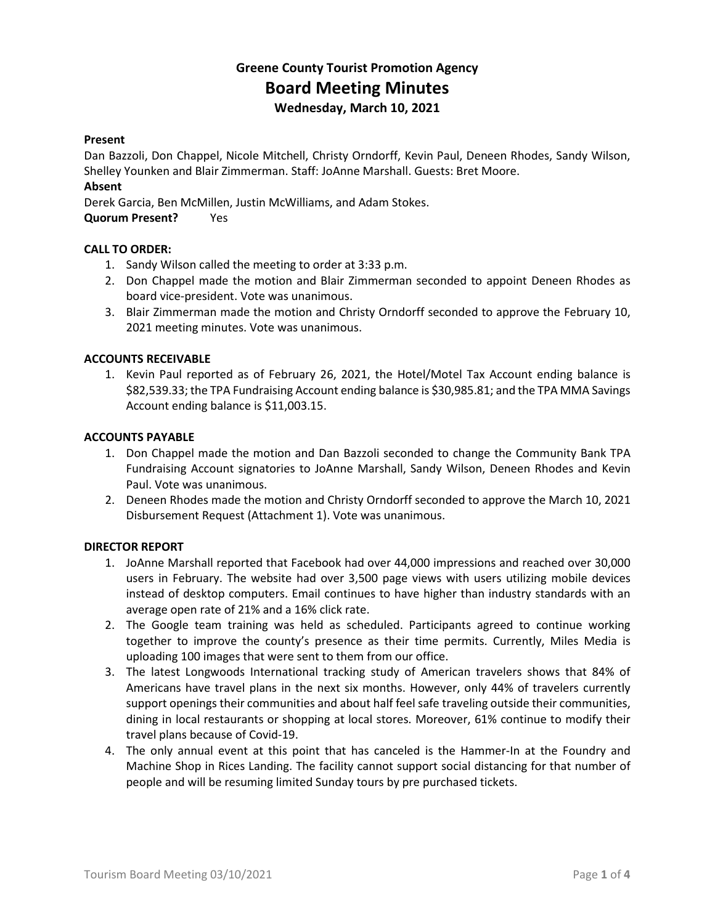# **Greene County Tourist Promotion Agency Board Meeting Minutes Wednesday, March 10, 2021**

#### **Present**

Dan Bazzoli, Don Chappel, Nicole Mitchell, Christy Orndorff, Kevin Paul, Deneen Rhodes, Sandy Wilson, Shelley Younken and Blair Zimmerman. Staff: JoAnne Marshall. Guests: Bret Moore.

# **Absent**

Derek Garcia, Ben McMillen, Justin McWilliams, and Adam Stokes.

**Quorum Present?** Yes

### **CALL TO ORDER:**

- 1. Sandy Wilson called the meeting to order at 3:33 p.m.
- 2. Don Chappel made the motion and Blair Zimmerman seconded to appoint Deneen Rhodes as board vice-president. Vote was unanimous.
- 3. Blair Zimmerman made the motion and Christy Orndorff seconded to approve the February 10, 2021 meeting minutes. Vote was unanimous.

# **ACCOUNTS RECEIVABLE**

1. Kevin Paul reported as of February 26, 2021, the Hotel/Motel Tax Account ending balance is \$82,539.33; the TPA Fundraising Account ending balance is \$30,985.81; and the TPA MMA Savings Account ending balance is \$11,003.15.

#### **ACCOUNTS PAYABLE**

- 1. Don Chappel made the motion and Dan Bazzoli seconded to change the Community Bank TPA Fundraising Account signatories to JoAnne Marshall, Sandy Wilson, Deneen Rhodes and Kevin Paul. Vote was unanimous.
- 2. Deneen Rhodes made the motion and Christy Orndorff seconded to approve the March 10, 2021 Disbursement Request (Attachment 1). Vote was unanimous.

#### **DIRECTOR REPORT**

- 1. JoAnne Marshall reported that Facebook had over 44,000 impressions and reached over 30,000 users in February. The website had over 3,500 page views with users utilizing mobile devices instead of desktop computers. Email continues to have higher than industry standards with an average open rate of 21% and a 16% click rate.
- 2. The Google team training was held as scheduled. Participants agreed to continue working together to improve the county's presence as their time permits. Currently, Miles Media is uploading 100 images that were sent to them from our office.
- 3. The latest Longwoods International tracking study of American travelers shows that 84% of Americans have travel plans in the next six months. However, only 44% of travelers currently support openings their communities and about half feel safe traveling outside their communities, dining in local restaurants or shopping at local stores. Moreover, 61% continue to modify their travel plans because of Covid-19.
- 4. The only annual event at this point that has canceled is the Hammer-In at the Foundry and Machine Shop in Rices Landing. The facility cannot support social distancing for that number of people and will be resuming limited Sunday tours by pre purchased tickets.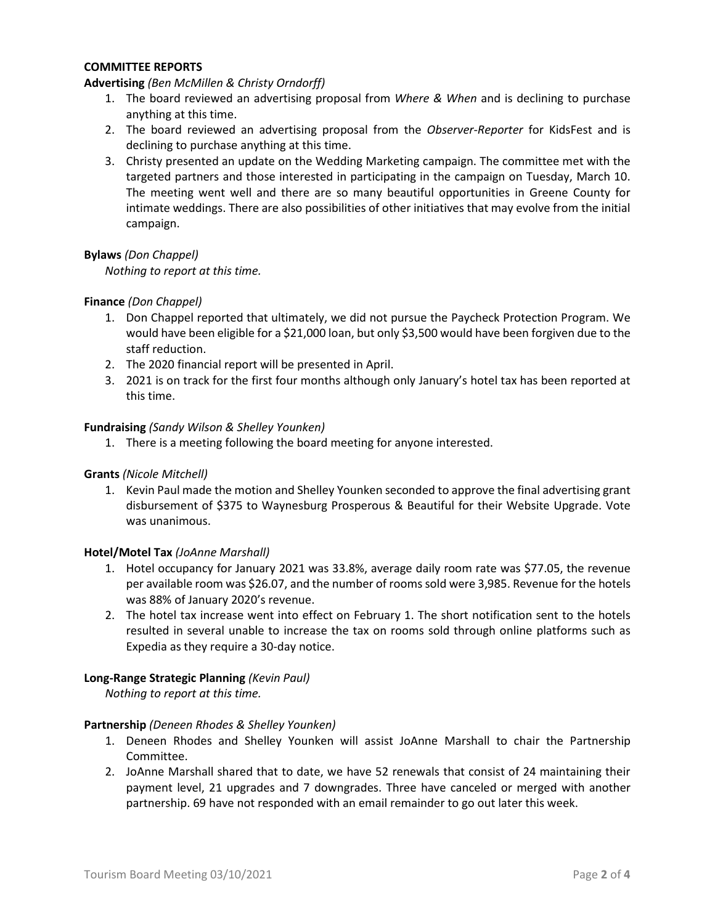### **COMMITTEE REPORTS**

### **Advertising** *(Ben McMillen & Christy Orndorff)*

- 1. The board reviewed an advertising proposal from *Where & When* and is declining to purchase anything at this time.
- 2. The board reviewed an advertising proposal from the *Observer-Reporter* for KidsFest and is declining to purchase anything at this time.
- 3. Christy presented an update on the Wedding Marketing campaign. The committee met with the targeted partners and those interested in participating in the campaign on Tuesday, March 10. The meeting went well and there are so many beautiful opportunities in Greene County for intimate weddings. There are also possibilities of other initiatives that may evolve from the initial campaign.

### **Bylaws** *(Don Chappel)*

*Nothing to report at this time.*

### **Finance** *(Don Chappel)*

- 1. Don Chappel reported that ultimately, we did not pursue the Paycheck Protection Program. We would have been eligible for a \$21,000 loan, but only \$3,500 would have been forgiven due to the staff reduction.
- 2. The 2020 financial report will be presented in April.
- 3. 2021 is on track for the first four months although only January's hotel tax has been reported at this time.

### **Fundraising** *(Sandy Wilson & Shelley Younken)*

1. There is a meeting following the board meeting for anyone interested.

#### **Grants** *(Nicole Mitchell)*

1. Kevin Paul made the motion and Shelley Younken seconded to approve the final advertising grant disbursement of \$375 to Waynesburg Prosperous & Beautiful for their Website Upgrade. Vote was unanimous.

#### **Hotel/Motel Tax** *(JoAnne Marshall)*

- 1. Hotel occupancy for January 2021 was 33.8%, average daily room rate was \$77.05, the revenue per available room was \$26.07, and the number of rooms sold were 3,985. Revenue for the hotels was 88% of January 2020's revenue.
- 2. The hotel tax increase went into effect on February 1. The short notification sent to the hotels resulted in several unable to increase the tax on rooms sold through online platforms such as Expedia as they require a 30-day notice.

#### **Long-Range Strategic Planning** *(Kevin Paul)*

*Nothing to report at this time.*

#### **Partnership** *(Deneen Rhodes & Shelley Younken)*

- 1. Deneen Rhodes and Shelley Younken will assist JoAnne Marshall to chair the Partnership Committee.
- 2. JoAnne Marshall shared that to date, we have 52 renewals that consist of 24 maintaining their payment level, 21 upgrades and 7 downgrades. Three have canceled or merged with another partnership. 69 have not responded with an email remainder to go out later this week.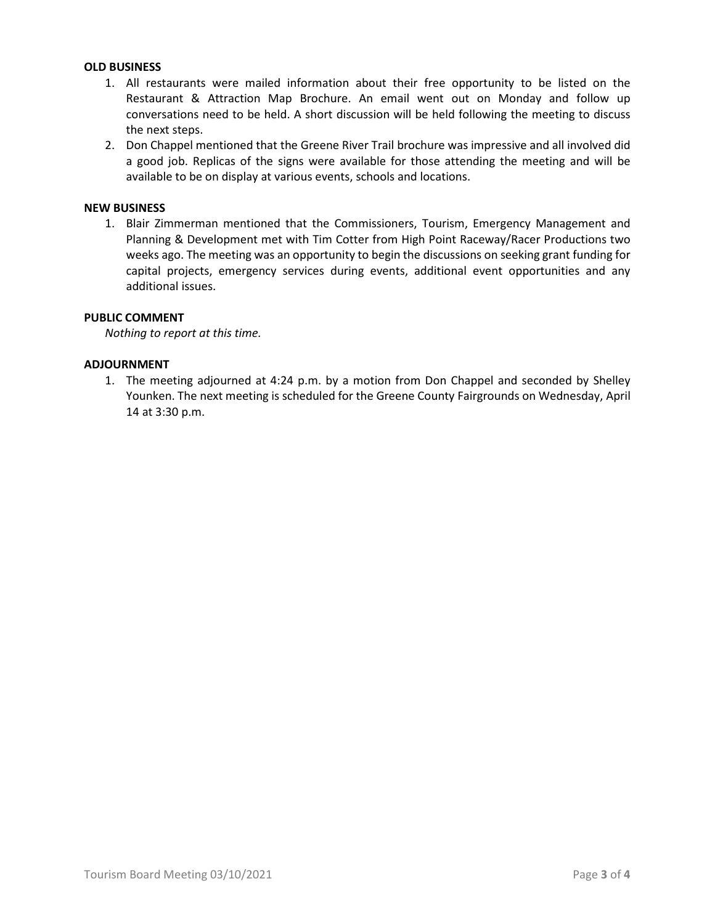# **OLD BUSINESS**

- 1. All restaurants were mailed information about their free opportunity to be listed on the Restaurant & Attraction Map Brochure. An email went out on Monday and follow up conversations need to be held. A short discussion will be held following the meeting to discuss the next steps.
- 2. Don Chappel mentioned that the Greene River Trail brochure was impressive and all involved did a good job. Replicas of the signs were available for those attending the meeting and will be available to be on display at various events, schools and locations.

# **NEW BUSINESS**

1. Blair Zimmerman mentioned that the Commissioners, Tourism, Emergency Management and Planning & Development met with Tim Cotter from High Point Raceway/Racer Productions two weeks ago. The meeting was an opportunity to begin the discussions on seeking grant funding for capital projects, emergency services during events, additional event opportunities and any additional issues.

# **PUBLIC COMMENT**

*Nothing to report at this time.*

# **ADJOURNMENT**

1. The meeting adjourned at 4:24 p.m. by a motion from Don Chappel and seconded by Shelley Younken. The next meeting is scheduled for the Greene County Fairgrounds on Wednesday, April 14 at 3:30 p.m.